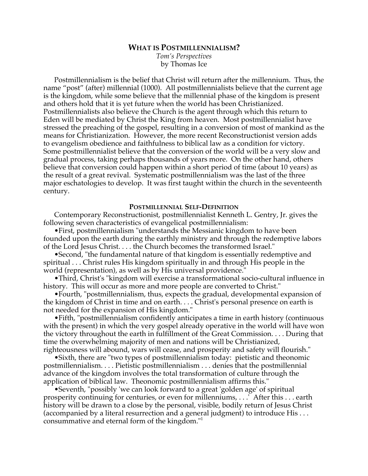# **WHAT IS POSTMILLENNIALISM?**

*Tom's Perspectives* by Thomas Ice

Postmillennialism is the belief that Christ will return after the millennium. Thus, the name "post" (after) millennial (1000). All postmillennialists believe that the current age is the kingdom, while some believe that the millennial phase of the kingdom is present and others hold that it is yet future when the world has been Christianized. Postmillennialists also believe the Church is the agent through which this return to Eden will be mediated by Christ the King from heaven. Most postmillennialist have stressed the preaching of the gospel, resulting in a conversion of most of mankind as the means for Christianization. However, the more recent Reconstructionist version adds to evangelism obedience and faithfulness to biblical law as a condition for victory. Some postmillennialist believe that the conversion of the world will be a very slow and gradual process, taking perhaps thousands of years more. On the other hand, others believe that conversion could happen within a short period of time (about 10 years) as the result of a great revival. Systematic postmillennialism was the last of the three major eschatologies to develop. It was first taught within the church in the seventeenth century.

## **POSTMILLENNIAL SELF-DEFINITION**

Contemporary Reconstructionist, postmillennialist Kenneth L. Gentry, Jr. gives the following seven characteristics of evangelical postmillennialism:

•First, postmillennialism "understands the Messianic kingdom to have been founded upon the earth during the earthly ministry and through the redemptive labors of the Lord Jesus Christ. . . . the Church becomes the transformed Israel."

•Second, "the fundamental nature of that kingdom is essentially redemptive and spiritual . . . Christ rules His kingdom spiritually in and through His people in the world (representation), as well as by His universal providence."

•Third, Christ's "kingdom will exercise a transformational socio-cultural influence in history. This will occur as more and more people are converted to Christ."

•Fourth, "postmillennialism, thus, expects the gradual, developmental expansion of the kingdom of Christ in time and on earth. . . . Christ's personal presence on earth is not needed for the expansion of His kingdom."

•Fifth, "postmillennialism confidently anticipates a time in earth history (continuous with the present) in which the very gospel already operative in the world will have won the victory throughout the earth in fulfillment of the Great Commission. . . . During that time the overwhelming majority of men and nations will be Christianized, righteousness will abound, wars will cease, and prosperity and safety will flourish."

•Sixth, there are "two types of postmillennialism today: pietistic and theonomic postmillennialism. . . . Pietistic postmillennialism . . . denies that the postmillennial advance of the kingdom involves the total transformation of culture through the application of biblical law. Theonomic postmillennialism affirms this."

•Seventh, "possibly 'we can look forward to a great 'golden age' of spiritual prosperity continuing for centuries, or even for millenniums, . . .' After this . . . earth history will be drawn to a close by the personal, visible, bodily return of Jesus Christ (accompanied by a literal resurrection and a general judgment) to introduce His . . . consummative and eternal form of the kingdom."1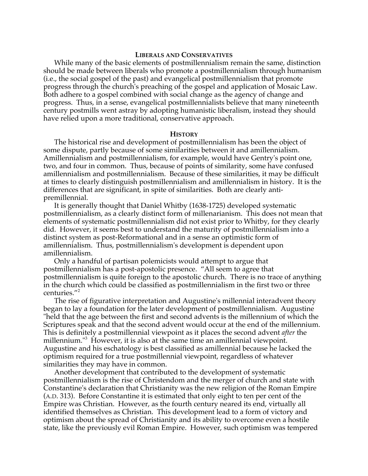#### **LIBERALS AND CONSERVATIVES**

While many of the basic elements of postmillennialism remain the same, distinction should be made between liberals who promote a postmillennialism through humanism (i.e., the social gospel of the past) and evangelical postmillennialism that promote progress through the church's preaching of the gospel and application of Mosaic Law. Both adhere to a gospel combined with social change as the agency of change and progress. Thus, in a sense, evangelical postmillennialists believe that many nineteenth century postmills went astray by adopting humanistic liberalism, instead they should have relied upon a more traditional, conservative approach.

#### **HISTORY**

The historical rise and development of postmillennialism has been the object of some dispute, partly because of some similarities between it and amillennialism. Amillennialism and postmillennialism, for example, would have Gentry's point one, two, and four in common. Thus, because of points of similarity, some have confused amillennialism and postmillennialism. Because of these similarities, it may be difficult at times to clearly distinguish postmillennialism and amillennialism in history. It is the differences that are significant, in spite of similarities. Both are clearly antipremillennial.

It is generally thought that Daniel Whitby (1638-1725) developed systematic postmillennialism, as a clearly distinct form of millenarianism. This does not mean that elements of systematic postmillennialism did not exist prior to Whitby, for they clearly did. However, it seems best to understand the maturity of postmillennialism into a distinct system as post-Reformational and in a sense an optimistic form of amillennialism. Thus, postmillennialism's development is dependent upon amillennialism.

Only a handful of partisan polemicists would attempt to argue that postmillennialism has a post-apostolic presence. "All seem to agree that postmillennialism is quite foreign to the apostolic church. There is no trace of anything in the church which could be classified as postmillennialism in the first two or three centuries."<sup>2</sup>

The rise of figurative interpretation and Augustine's millennial interadvent theory began to lay a foundation for the later development of postmillennialism. Augustine "held that the age between the first and second advents is the millennium of which the Scriptures speak and that the second advent would occur at the end of the millennium. This is definitely a postmillennial viewpoint as it places the second advent *after* the millennium."<sup>3</sup> However, it is also at the same time an amillennial viewpoint. Augustine and his eschatology is best classified as amillennial because he lacked the optimism required for a true postmillennial viewpoint, regardless of whatever similarities they may have in common.

Another development that contributed to the development of systematic postmillennialism is the rise of Christendom and the merger of church and state with Constantine's declaration that Christianity was the new religion of the Roman Empire (A.D. 313). Before Constantine it is estimated that only eight to ten per cent of the Empire was Christian. However, as the fourth century neared its end, virtually all identified themselves as Christian. This development lead to a form of victory and optimism about the spread of Christianity and its ability to overcome even a hostile state, like the previously evil Roman Empire. However, such optimism was tempered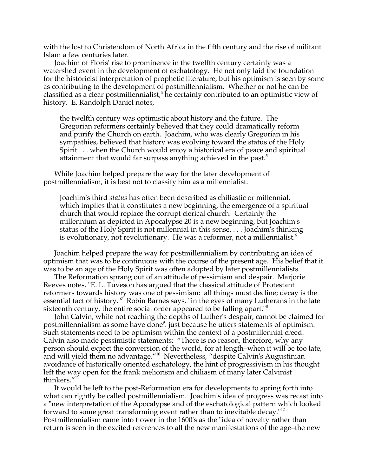with the lost to Christendom of North Africa in the fifth century and the rise of militant Islam a few centuries later.

Joachim of Floris' rise to prominence in the twelfth century certainly was a watershed event in the development of eschatology. He not only laid the foundation for the historicist interpretation of prophetic literature, but his optimism is seen by some as contributing to the development of postmillennialism. Whether or not he can be classified as a clear postmillennialist,<sup>4</sup> he certainly contributed to an optimistic view of history. E. Randolph Daniel notes,

the twelfth century was optimistic about history and the future. The Gregorian reformers certainly believed that they could dramatically reform and purify the Church on earth. Joachim, who was clearly Gregorian in his sympathies, believed that history was evolving toward the status of the Holy Spirit . . . when the Church would enjoy a historical era of peace and spiritual attainment that would far surpass anything achieved in the past.<sup>5</sup>

While Joachim helped prepare the way for the later development of postmillennialism, it is best not to classify him as a millennialist.

Joachim's third *status* has often been described as chiliastic or millennial, which implies that it constitutes a new beginning, the emergence of a spiritual church that would replace the corrupt clerical church. Certainly the millennium as depicted in Apocalypse 20 is a new beginning, but Joachim's status of the Holy Spirit is not millennial in this sense. . . . Joachim's thinking is evolutionary, not revolutionary. He was a reformer, not a millennialist.<sup>6</sup>

Joachim helped prepare the way for postmillennialism by contributing an idea of optimism that was to be continuous with the course of the present age. His belief that it was to be an age of the Holy Spirit was often adopted by later postmillennialists.

The Reformation sprang out of an attitude of pessimism and despair. Marjorie Reeves notes, "E. L. Tuveson has argued that the classical attitude of Protestant reformers towards history was one of pessimism: all things must decline; decay is the essential fact of history."<sup>7</sup> Robin Barnes says, "in the eyes of many Lutherans in the late sixteenth century, the entire social order appeared to be falling apart."<sup>8</sup>

John Calvin, while not reaching the depths of Luther's despair, cannot be claimed for postmillennialism as some have done<sup>9</sup>. just because he utters statements of optimism. Such statements need to be optimism within the context of a postmillennial creed. Calvin also made pessimistic statements: "There is no reason, therefore, why any person should expect the conversion of the world, for at length–when it will be too late, and will yield them no advantage."10 Nevertheless, "despite Calvin's Augustinian avoidance of historically oriented eschatology, the hint of progressivism in his thought left the way open for the frank meliorism and chiliasm of many later Calvinist thinkers."<sup>11</sup>

It would be left to the post-Reformation era for developments to spring forth into what can rightly be called postmillennialism. Joachim's idea of progress was recast into a "new interpretation of the Apocalypse and of the eschatological pattern which looked forward to some great transforming event rather than to inevitable decay."12 Postmillennialism came into flower in the 1600's as the "idea of novelty rather than return is seen in the excited references to all the new manifestations of the age–the new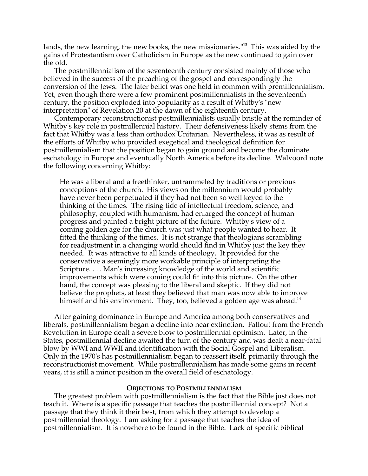lands, the new learning, the new books, the new missionaries."<sup>13</sup> This was aided by the gains of Protestantism over Catholicism in Europe as the new continued to gain over the old.

The postmillennialism of the seventeenth century consisted mainly of those who believed in the success of the preaching of the gospel and correspondingly the conversion of the Jews. The later belief was one held in common with premillennialism. Yet, even though there were a few prominent postmillennialists in the seventeenth century, the position exploded into popularity as a result of Whitby's "new interpretation" of Revelation 20 at the dawn of the eighteenth century.

Contemporary reconstructionist postmillennialists usually bristle at the reminder of Whitby's key role in postmillennial history. Their defensiveness likely stems from the fact that Whitby was a less than orthodox Unitarian. Nevertheless, it was as result of the efforts of Whitby who provided exegetical and theological definition for postmillennialism that the position began to gain ground and become the dominate eschatology in Europe and eventually North America before its decline. Walvoord note the following concerning Whitby:

He was a liberal and a freethinker, untrammeled by traditions or previous conceptions of the church. His views on the millennium would probably have never been perpetuated if they had not been so well keyed to the thinking of the times. The rising tide of intellectual freedom, science, and philosophy, coupled with humanism, had enlarged the concept of human progress and painted a bright picture of the future. Whitby's view of a coming golden age for the church was just what people wanted to hear. It fitted the thinking of the times. It is not strange that theologians scrambling for readjustment in a changing world should find in Whitby just the key they needed. It was attractive to all kinds of theology. It provided for the conservative a seemingly more workable principle of interpreting the Scripture. . . . Man's increasing knowledge of the world and scientific improvements which were coming could fit into this picture. On the other hand, the concept was pleasing to the liberal and skeptic. If they did not believe the prophets, at least they believed that man was now able to improve himself and his environment. They, too, believed a golden age was ahead.<sup>14</sup>

After gaining dominance in Europe and America among both conservatives and liberals, postmillennialism began a decline into near extinction. Fallout from the French Revolution in Europe dealt a severe blow to postmillennial optimism. Later, in the States, postmillennial decline awaited the turn of the century and was dealt a near-fatal blow by WWI and WWII and identification with the Social Gospel and Liberalism. Only in the 1970's has postmillennialism began to reassert itself, primarily through the reconstructionist movement. While postmillennialism has made some gains in recent years, it is still a minor position in the overall field of eschatology.

### **OBJECTIONS TO POSTMILLENNIALISM**

The greatest problem with postmillennialism is the fact that the Bible just does not teach it. Where is a specific passage that teaches the postmillennial concept? Not a passage that they think it their best, from which they attempt to develop a postmillennial theology. I am asking for a passage that teaches the idea of postmillennialism. It is nowhere to be found in the Bible. Lack of specific biblical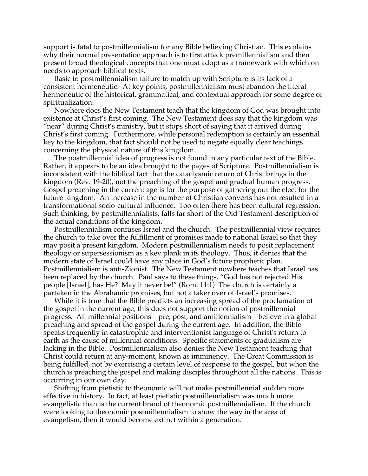support is fatal to postmillennialism for any Bible believing Christian. This explains why their normal presentation approach is to first attack premillennialism and then present broad theological concepts that one must adopt as a framework with which on needs to approach biblical texts.

Basic to postmillennialism failure to match up with Scripture is its lack of a consistent hermeneutic. At key points, postmillennialism must abandon the literal hermeneutic of the historical, grammatical, and contextual approach for some degree of spiritualization.

Nowhere does the New Testament teach that the kingdom of God was brought into existence at Christ's first coming. The New Testament does say that the kingdom was "near" during Christ's ministry, but it stops short of saying that it arrived during Christ's first coming. Furthermore, while personal redemption is certainly an essential key to the kingdom, that fact should not be used to negate equally clear teachings concerning the physical nature of this kingdom.

The postmillennial idea of progress is not found in any particular text of the Bible. Rather, it appears to be an idea brought to the pages of Scripture. Postmillennialism is inconsistent with the biblical fact that the cataclysmic return of Christ brings in the kingdom (Rev. 19-20), not the preaching of the gospel and gradual human progress. Gospel preaching in the current age is for the purpose of gathering out the elect for the future kingdom. An increase in the number of Christian converts has not resulted in a transformational socio-cultural influence. Too often there has been cultural regression. Such thinking, by postmillennialists, falls far short of the Old Testament description of the actual conditions of the kingdom.

Postmillennialism confuses Israel and the church. The postmillennial view requires the church to take over the fulfillment of promises made to national Israel so that they may posit a present kingdom. Modern postmillennialism needs to posit replacement theology or supersessionism as a key plank in its theology. Thus, it denies that the modern state of Israel could have any place in God's future prophetic plan. Postmillennialism is anti-Zionist. The New Testament nowhere teaches that Israel has been replaced by the church. Paul says to these things, "God has not rejected His people [Israel], has He? May it never be!" (Rom. 11:1) The church is certainly a partaken in the Abrahamic promises, but not a taker over of Israel's promises.

While it is true that the Bible predicts an increasing spread of the proclamation of the gospel in the current age, this does not support the notion of postmillennial progress. All millennial positions—pre, post, and amillennialism—believe in a global preaching and spread of the gospel during the current age. In addition, the Bible speaks frequently in catastrophic and interventionist language of Christ's return to earth as the cause of millennial conditions. Specific statements of gradualism are lacking in the Bible. Postmillennialism also denies the New Testament teaching that Christ could return at any-moment, known as imminency. The Great Commission is being fulfilled, not by exercising a certain level of response to the gospel, but when the church is preaching the gospel and making disciples throughout all the nations. This is occurring in our own day.

Shifting from pietistic to theonomic will not make postmillennial sudden more effective in history. In fact, at least pietistic postmillennialism was much more evangelistic than is the current brand of theonomic postmillennialism. If the church were looking to theonomic postmillennialism to show the way in the area of evangelism, then it would become extinct within a generation.